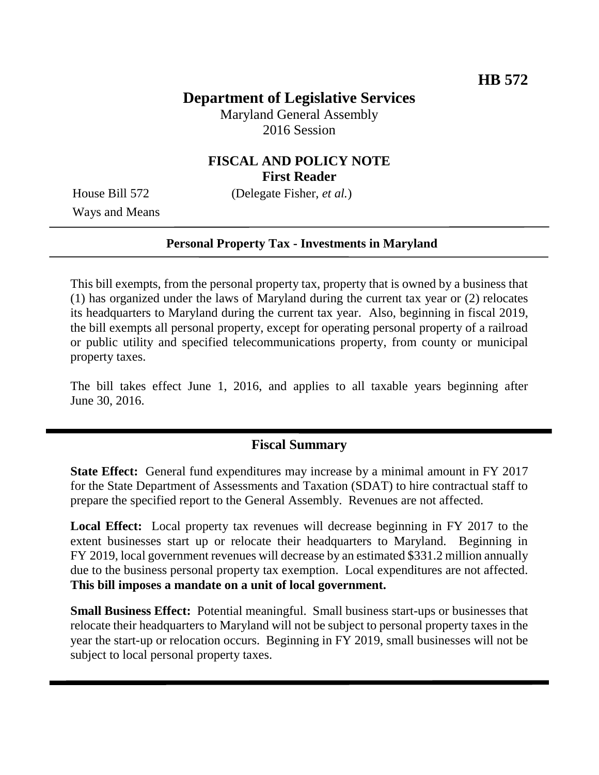## **Department of Legislative Services**

Maryland General Assembly 2016 Session

## **FISCAL AND POLICY NOTE First Reader**

Ways and Means

House Bill 572 (Delegate Fisher, *et al.*)

### **Personal Property Tax - Investments in Maryland**

This bill exempts, from the personal property tax, property that is owned by a business that (1) has organized under the laws of Maryland during the current tax year or (2) relocates its headquarters to Maryland during the current tax year. Also, beginning in fiscal 2019, the bill exempts all personal property, except for operating personal property of a railroad or public utility and specified telecommunications property, from county or municipal property taxes.

The bill takes effect June 1, 2016, and applies to all taxable years beginning after June 30, 2016.

## **Fiscal Summary**

**State Effect:** General fund expenditures may increase by a minimal amount in FY 2017 for the State Department of Assessments and Taxation (SDAT) to hire contractual staff to prepare the specified report to the General Assembly. Revenues are not affected.

**Local Effect:** Local property tax revenues will decrease beginning in FY 2017 to the extent businesses start up or relocate their headquarters to Maryland. Beginning in FY 2019, local government revenues will decrease by an estimated \$331.2 million annually due to the business personal property tax exemption. Local expenditures are not affected. **This bill imposes a mandate on a unit of local government.**

**Small Business Effect:** Potential meaningful. Small business start-ups or businesses that relocate their headquarters to Maryland will not be subject to personal property taxes in the year the start-up or relocation occurs. Beginning in FY 2019, small businesses will not be subject to local personal property taxes.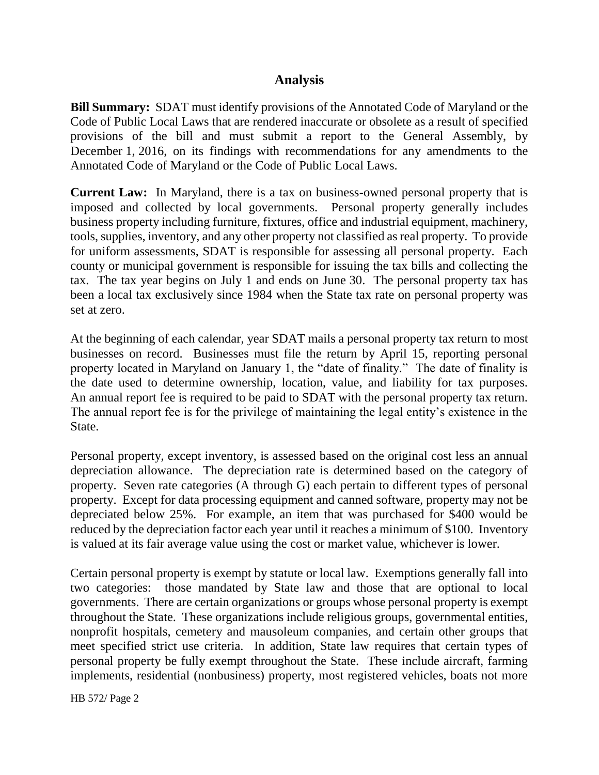## **Analysis**

**Bill Summary:** SDAT must identify provisions of the Annotated Code of Maryland or the Code of Public Local Laws that are rendered inaccurate or obsolete as a result of specified provisions of the bill and must submit a report to the General Assembly, by December 1, 2016, on its findings with recommendations for any amendments to the Annotated Code of Maryland or the Code of Public Local Laws.

**Current Law:** In Maryland, there is a tax on business-owned personal property that is imposed and collected by local governments. Personal property generally includes business property including furniture, fixtures, office and industrial equipment, machinery, tools, supplies, inventory, and any other property not classified as real property. To provide for uniform assessments, SDAT is responsible for assessing all personal property. Each county or municipal government is responsible for issuing the tax bills and collecting the tax. The tax year begins on July 1 and ends on June 30. The personal property tax has been a local tax exclusively since 1984 when the State tax rate on personal property was set at zero.

At the beginning of each calendar, year SDAT mails a personal property tax return to most businesses on record. Businesses must file the return by April 15, reporting personal property located in Maryland on January 1, the "date of finality." The date of finality is the date used to determine ownership, location, value, and liability for tax purposes. An annual report fee is required to be paid to SDAT with the personal property tax return. The annual report fee is for the privilege of maintaining the legal entity's existence in the State.

Personal property, except inventory, is assessed based on the original cost less an annual depreciation allowance. The depreciation rate is determined based on the category of property. Seven rate categories (A through G) each pertain to different types of personal property. Except for data processing equipment and canned software, property may not be depreciated below 25%. For example, an item that was purchased for \$400 would be reduced by the depreciation factor each year until it reaches a minimum of \$100. Inventory is valued at its fair average value using the cost or market value, whichever is lower.

Certain personal property is exempt by statute or local law. Exemptions generally fall into two categories: those mandated by State law and those that are optional to local governments. There are certain organizations or groups whose personal property is exempt throughout the State. These organizations include religious groups, governmental entities, nonprofit hospitals, cemetery and mausoleum companies, and certain other groups that meet specified strict use criteria. In addition, State law requires that certain types of personal property be fully exempt throughout the State. These include aircraft, farming implements, residential (nonbusiness) property, most registered vehicles, boats not more

HB 572/ Page 2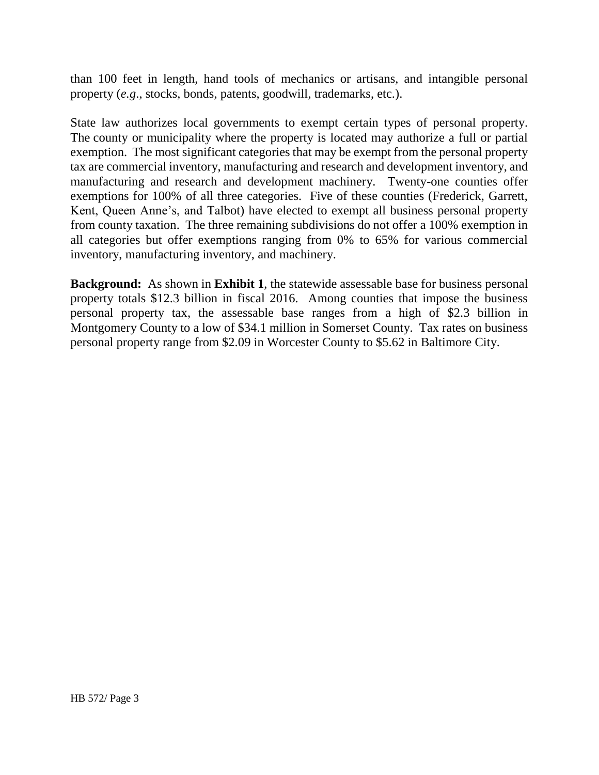than 100 feet in length, hand tools of mechanics or artisans, and intangible personal property (*e.g*., stocks, bonds, patents, goodwill, trademarks, etc.).

State law authorizes local governments to exempt certain types of personal property. The county or municipality where the property is located may authorize a full or partial exemption. The most significant categories that may be exempt from the personal property tax are commercial inventory, manufacturing and research and development inventory, and manufacturing and research and development machinery. Twenty-one counties offer exemptions for 100% of all three categories. Five of these counties (Frederick, Garrett, Kent, Queen Anne's, and Talbot) have elected to exempt all business personal property from county taxation. The three remaining subdivisions do not offer a 100% exemption in all categories but offer exemptions ranging from 0% to 65% for various commercial inventory, manufacturing inventory, and machinery.

**Background:** As shown in **Exhibit 1**, the statewide assessable base for business personal property totals \$12.3 billion in fiscal 2016. Among counties that impose the business personal property tax, the assessable base ranges from a high of \$2.3 billion in Montgomery County to a low of \$34.1 million in Somerset County. Tax rates on business personal property range from \$2.09 in Worcester County to \$5.62 in Baltimore City.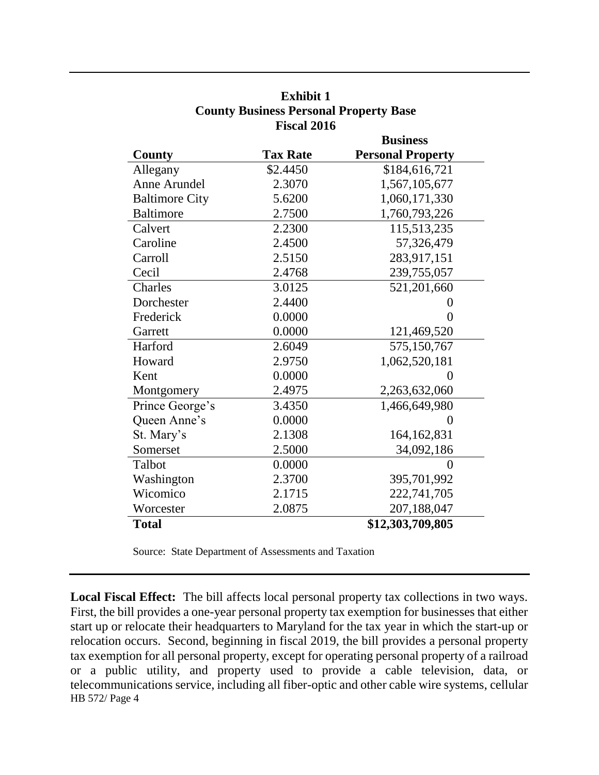|                       |                 | <b>Business</b>          |  |  |
|-----------------------|-----------------|--------------------------|--|--|
| County                | <b>Tax Rate</b> | <b>Personal Property</b> |  |  |
| Allegany              | \$2.4450        | \$184,616,721            |  |  |
| Anne Arundel          | 2.3070          | 1,567,105,677            |  |  |
| <b>Baltimore City</b> | 5.6200          | 1,060,171,330            |  |  |
| <b>Baltimore</b>      | 2.7500          | 1,760,793,226            |  |  |
| Calvert               | 2.2300          | 115,513,235              |  |  |
| Caroline              | 2.4500          | 57,326,479               |  |  |
| Carroll               | 2.5150          | 283,917,151              |  |  |
| Cecil                 | 2.4768          | 239,755,057              |  |  |
| Charles               | 3.0125          | 521,201,660              |  |  |
| Dorchester            | 2.4400          | 0                        |  |  |
| Frederick             | 0.0000          | 0                        |  |  |
| Garrett               | 0.0000          | 121,469,520              |  |  |
| Harford               | 2.6049          | 575,150,767              |  |  |
| Howard                | 2.9750          | 1,062,520,181            |  |  |
| Kent                  | 0.0000          | 0                        |  |  |
| Montgomery            | 2.4975          | 2,263,632,060            |  |  |
| Prince George's       | 3.4350          | 1,466,649,980            |  |  |
| Queen Anne's          | 0.0000          | $\overline{0}$           |  |  |
| St. Mary's            | 2.1308          | 164, 162, 831            |  |  |
| Somerset              | 2.5000          | 34,092,186               |  |  |
| Talbot                | 0.0000          | $\theta$                 |  |  |
| Washington            | 2.3700          | 395,701,992              |  |  |
| Wicomico              | 2.1715          | 222,741,705              |  |  |
| Worcester             | 2.0875          | 207,188,047              |  |  |
| <b>Total</b>          |                 | \$12,303,709,805         |  |  |

**Exhibit 1 County Business Personal Property Base Fiscal 2016**

Source: State Department of Assessments and Taxation

HB 572/ Page 4 **Local Fiscal Effect:** The bill affects local personal property tax collections in two ways. First, the bill provides a one-year personal property tax exemption for businesses that either start up or relocate their headquarters to Maryland for the tax year in which the start-up or relocation occurs. Second, beginning in fiscal 2019, the bill provides a personal property tax exemption for all personal property, except for operating personal property of a railroad or a public utility, and property used to provide a cable television, data, or telecommunications service, including all fiber-optic and other cable wire systems, cellular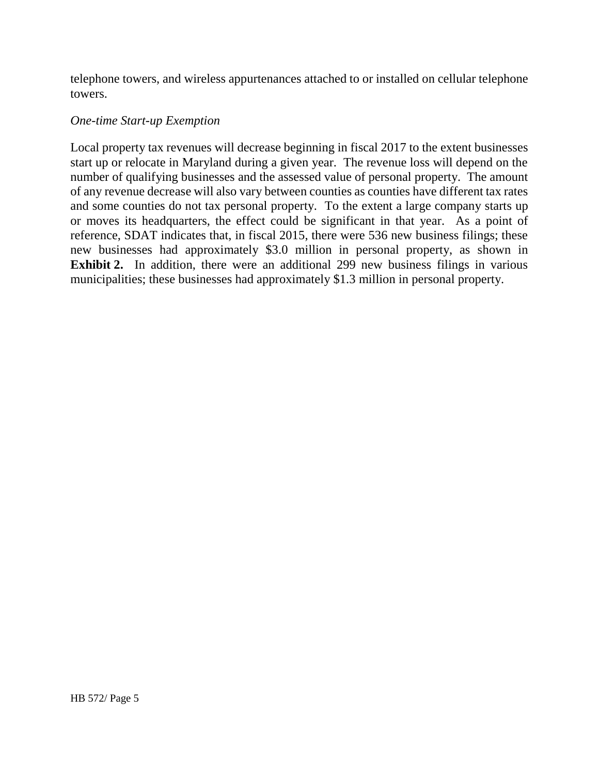telephone towers, and wireless appurtenances attached to or installed on cellular telephone towers.

#### *One-time Start-up Exemption*

Local property tax revenues will decrease beginning in fiscal 2017 to the extent businesses start up or relocate in Maryland during a given year. The revenue loss will depend on the number of qualifying businesses and the assessed value of personal property. The amount of any revenue decrease will also vary between counties as counties have different tax rates and some counties do not tax personal property. To the extent a large company starts up or moves its headquarters, the effect could be significant in that year. As a point of reference, SDAT indicates that, in fiscal 2015, there were 536 new business filings; these new businesses had approximately \$3.0 million in personal property, as shown in **Exhibit 2.** In addition, there were an additional 299 new business filings in various municipalities; these businesses had approximately \$1.3 million in personal property.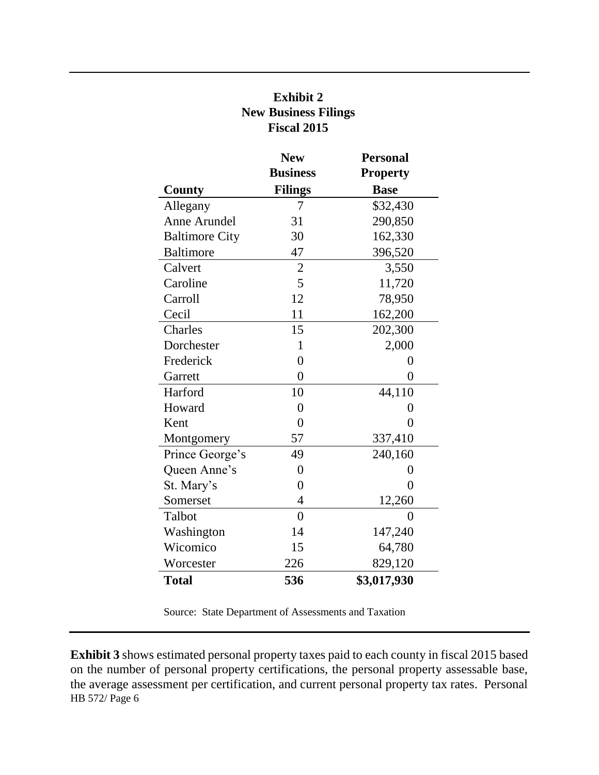|                       | <b>New</b>      | <b>Personal</b> |
|-----------------------|-----------------|-----------------|
|                       | <b>Business</b> | <b>Property</b> |
| County                | <b>Filings</b>  | <b>Base</b>     |
| Allegany              | 7               | \$32,430        |
| Anne Arundel          | 31              | 290,850         |
| <b>Baltimore City</b> | 30              | 162,330         |
| <b>Baltimore</b>      | 47              | 396,520         |
| Calvert               | $\overline{c}$  | 3,550           |
| Caroline              | 5               | 11,720          |
| Carroll               | 12              | 78,950          |
| Cecil                 | 11              | 162,200         |
| Charles               | 15              | 202,300         |
| Dorchester            | 1               | 2,000           |
| Frederick             | $\overline{0}$  | 0               |
| Garrett               | $\overline{0}$  | $\overline{0}$  |
| Harford               | 10              | 44,110          |
| Howard                | $\overline{0}$  | 0               |
| Kent                  | $\overline{0}$  | $\overline{0}$  |
| Montgomery            | 57              | 337,410         |
| Prince George's       | 49              | 240,160         |
| Queen Anne's          | $\overline{0}$  | $\overline{0}$  |
| St. Mary's            | $\overline{0}$  | $\overline{0}$  |
| Somerset              | $\overline{4}$  | 12,260          |
| Talbot                | $\overline{0}$  | $\theta$        |
| Washington            | 14              | 147,240         |
| Wicomico              | 15              | 64,780          |
| Worcester             | 226             | 829,120         |
| <b>Total</b>          | 536             | \$3,017,930     |

# **Exhibit 2 New Business Filings Fiscal 2015**

Source: State Department of Assessments and Taxation

HB 572/ Page 6 **Exhibit 3** shows estimated personal property taxes paid to each county in fiscal 2015 based on the number of personal property certifications, the personal property assessable base, the average assessment per certification, and current personal property tax rates. Personal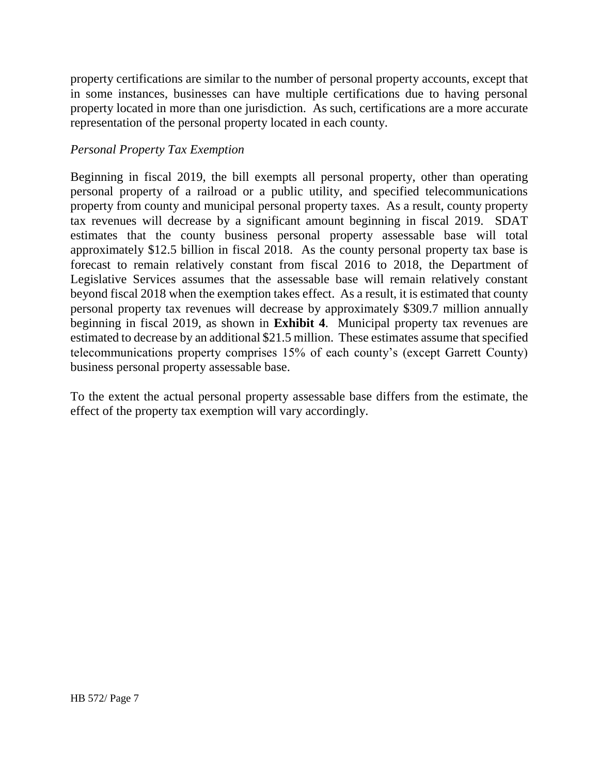property certifications are similar to the number of personal property accounts, except that in some instances, businesses can have multiple certifications due to having personal property located in more than one jurisdiction. As such, certifications are a more accurate representation of the personal property located in each county.

### *Personal Property Tax Exemption*

Beginning in fiscal 2019, the bill exempts all personal property, other than operating personal property of a railroad or a public utility, and specified telecommunications property from county and municipal personal property taxes. As a result, county property tax revenues will decrease by a significant amount beginning in fiscal 2019. SDAT estimates that the county business personal property assessable base will total approximately \$12.5 billion in fiscal 2018. As the county personal property tax base is forecast to remain relatively constant from fiscal 2016 to 2018, the Department of Legislative Services assumes that the assessable base will remain relatively constant beyond fiscal 2018 when the exemption takes effect. As a result, it is estimated that county personal property tax revenues will decrease by approximately \$309.7 million annually beginning in fiscal 2019, as shown in **Exhibit 4**. Municipal property tax revenues are estimated to decrease by an additional \$21.5 million. These estimates assume that specified telecommunications property comprises 15% of each county's (except Garrett County) business personal property assessable base.

To the extent the actual personal property assessable base differs from the estimate, the effect of the property tax exemption will vary accordingly.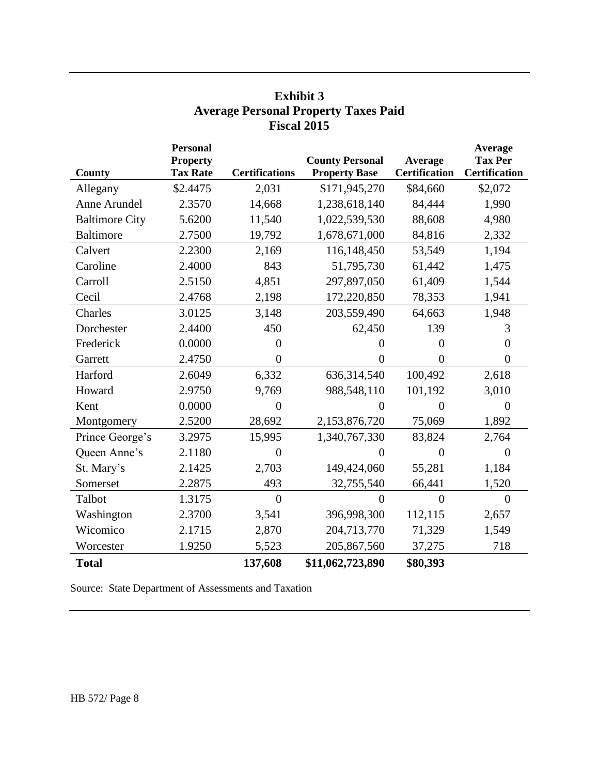|                       | <b>Personal</b>                    |                       |                                                |                                 | Average                                |
|-----------------------|------------------------------------|-----------------------|------------------------------------------------|---------------------------------|----------------------------------------|
| County                | <b>Property</b><br><b>Tax Rate</b> | <b>Certifications</b> | <b>County Personal</b><br><b>Property Base</b> | Average<br><b>Certification</b> | <b>Tax Per</b><br><b>Certification</b> |
| Allegany              | \$2.4475                           | 2,031                 | \$171,945,270                                  | \$84,660                        | \$2,072                                |
| Anne Arundel          | 2.3570                             | 14,668                | 1,238,618,140                                  | 84,444                          | 1,990                                  |
| <b>Baltimore City</b> | 5.6200                             | 11,540                | 1,022,539,530                                  | 88,608                          | 4,980                                  |
| <b>Baltimore</b>      | 2.7500                             | 19,792                | 1,678,671,000                                  | 84,816                          | 2,332                                  |
| Calvert               | 2.2300                             | 2,169                 | 116,148,450                                    | 53,549                          | 1,194                                  |
| Caroline              | 2.4000                             | 843                   | 51,795,730                                     | 61,442                          | 1,475                                  |
| Carroll               | 2.5150                             | 4,851                 | 297,897,050                                    | 61,409                          | 1,544                                  |
| Cecil                 | 2.4768                             | 2,198                 | 172,220,850                                    | 78,353                          | 1,941                                  |
| Charles               | 3.0125                             | 3,148                 | 203,559,490                                    | 64,663                          | 1,948                                  |
| Dorchester            | 2.4400                             | 450                   | 62,450                                         | 139                             | 3                                      |
| Frederick             | 0.0000                             | $\overline{0}$        | $\theta$                                       | $\overline{0}$                  | $\overline{0}$                         |
| Garrett               | 2.4750                             | $\overline{0}$        | $\overline{0}$                                 | $\overline{0}$                  | $\overline{0}$                         |
| Harford               | 2.6049                             | 6,332                 | 636,314,540                                    | 100,492                         | 2,618                                  |
| Howard                | 2.9750                             | 9,769                 | 988,548,110                                    | 101,192                         | 3,010                                  |
| Kent                  | 0.0000                             | $\overline{0}$        | $\overline{0}$                                 | $\overline{0}$                  | $\overline{0}$                         |
| Montgomery            | 2.5200                             | 28,692                | 2,153,876,720                                  | 75,069                          | 1,892                                  |
| Prince George's       | 3.2975                             | 15,995                | 1,340,767,330                                  | 83,824                          | 2,764                                  |
| Queen Anne's          | 2.1180                             | 0                     | $\theta$                                       | $\overline{0}$                  | $\overline{0}$                         |
| St. Mary's            | 2.1425                             | 2,703                 | 149,424,060                                    | 55,281                          | 1,184                                  |
| Somerset              | 2.2875                             | 493                   | 32,755,540                                     | 66,441                          | 1,520                                  |
| Talbot                | 1.3175                             | $\theta$              | $\theta$                                       | $\theta$                        | $\Omega$                               |
| Washington            | 2.3700                             | 3,541                 | 396,998,300                                    | 112,115                         | 2,657                                  |
| Wicomico              | 2.1715                             | 2,870                 | 204,713,770                                    | 71,329                          | 1,549                                  |
| Worcester             | 1.9250                             | 5,523                 | 205,867,560                                    | 37,275                          | 718                                    |
| <b>Total</b>          |                                    | 137,608               | \$11,062,723,890                               | \$80,393                        |                                        |

## **Exhibit 3 Average Personal Property Taxes Paid Fiscal 2015**

Source: State Department of Assessments and Taxation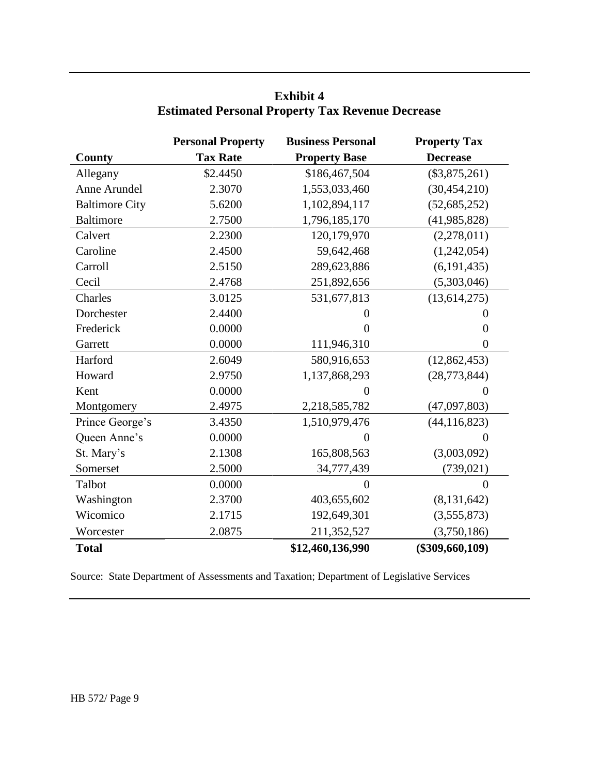|                       | <b>Personal Property</b> | <b>Business Personal</b> | <b>Property Tax</b> |
|-----------------------|--------------------------|--------------------------|---------------------|
| <b>County</b>         | <b>Tax Rate</b>          | <b>Property Base</b>     | <b>Decrease</b>     |
| Allegany              | \$2.4450                 | \$186,467,504            | $(\$3,875,261)$     |
| Anne Arundel          | 2.3070                   | 1,553,033,460            | (30, 454, 210)      |
| <b>Baltimore City</b> | 5.6200                   | 1,102,894,117            | (52, 685, 252)      |
| <b>Baltimore</b>      | 2.7500                   | 1,796,185,170            | (41, 985, 828)      |
| Calvert               | 2.2300                   | 120,179,970              | (2,278,011)         |
| Caroline              | 2.4500                   | 59,642,468               | (1,242,054)         |
| Carroll               | 2.5150                   | 289,623,886              | (6, 191, 435)       |
| Cecil                 | 2.4768                   | 251,892,656              | (5,303,046)         |
| Charles               | 3.0125                   | 531,677,813              | (13, 614, 275)      |
| Dorchester            | 2.4400                   | 0                        | 0                   |
| Frederick             | 0.0000                   | 0                        | $\theta$            |
| Garrett               | 0.0000                   | 111,946,310              | $\theta$            |
| Harford               | 2.6049                   | 580,916,653              | (12, 862, 453)      |
| Howard                | 2.9750                   | 1,137,868,293            | (28, 773, 844)      |
| Kent                  | 0.0000                   | $\boldsymbol{0}$         | $\overline{0}$      |
| Montgomery            | 2.4975                   | 2,218,585,782            | (47,097,803)        |
| Prince George's       | 3.4350                   | 1,510,979,476            | (44, 116, 823)      |
| Queen Anne's          | 0.0000                   | $\boldsymbol{0}$         | $\theta$            |
| St. Mary's            | 2.1308                   | 165,808,563              | (3,003,092)         |
| Somerset              | 2.5000                   | 34,777,439               | (739, 021)          |
| Talbot                | 0.0000                   | $\theta$                 | $\Omega$            |
| Washington            | 2.3700                   | 403,655,602              | (8, 131, 642)       |
| Wicomico              | 2.1715                   | 192,649,301              | (3,555,873)         |
| Worcester             | 2.0875                   | 211,352,527              | (3,750,186)         |
| <b>Total</b>          |                          | \$12,460,136,990         | $(\$309,660,109)$   |

## **Exhibit 4 Estimated Personal Property Tax Revenue Decrease**

Source: State Department of Assessments and Taxation; Department of Legislative Services